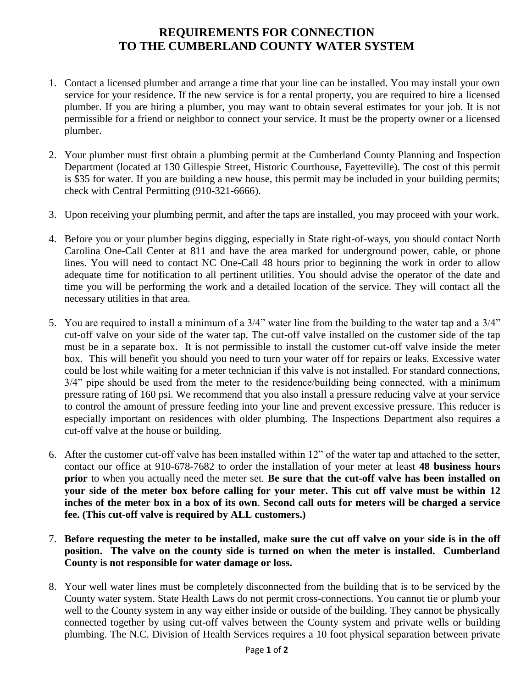## **REQUIREMENTS FOR CONNECTION TO THE CUMBERLAND COUNTY WATER SYSTEM**

- 1. Contact a licensed plumber and arrange a time that your line can be installed. You may install your own service for your residence. If the new service is for a rental property, you are required to hire a licensed plumber. If you are hiring a plumber, you may want to obtain several estimates for your job. It is not permissible for a friend or neighbor to connect your service. It must be the property owner or a licensed plumber.
- 2. Your plumber must first obtain a plumbing permit at the Cumberland County Planning and Inspection Department (located at 130 Gillespie Street, Historic Courthouse, Fayetteville). The cost of this permit is \$35 for water. If you are building a new house, this permit may be included in your building permits; check with Central Permitting (910-321-6666).
- 3. Upon receiving your plumbing permit, and after the taps are installed, you may proceed with your work.
- 4. Before you or your plumber begins digging, especially in State right-of-ways, you should contact North Carolina One-Call Center at 811 and have the area marked for underground power, cable, or phone lines. You will need to contact NC One-Call 48 hours prior to beginning the work in order to allow adequate time for notification to all pertinent utilities. You should advise the operator of the date and time you will be performing the work and a detailed location of the service. They will contact all the necessary utilities in that area.
- 5. You are required to install a minimum of a 3/4" water line from the building to the water tap and a 3/4" cut-off valve on your side of the water tap. The cut-off valve installed on the customer side of the tap must be in a separate box. It is not permissible to install the customer cut-off valve inside the meter box. This will benefit you should you need to turn your water off for repairs or leaks. Excessive water could be lost while waiting for a meter technician if this valve is not installed. For standard connections, 3/4" pipe should be used from the meter to the residence/building being connected, with a minimum pressure rating of 160 psi. We recommend that you also install a pressure reducing valve at your service to control the amount of pressure feeding into your line and prevent excessive pressure. This reducer is especially important on residences with older plumbing. The Inspections Department also requires a cut-off valve at the house or building.
- 6. After the customer cut-off valve has been installed within 12" of the water tap and attached to the setter, contact our office at 910-678-7682 to order the installation of your meter at least **48 business hours prior** to when you actually need the meter set. **Be sure that the cut-off valve has been installed on your side of the meter box before calling for your meter. This cut off valve must be within 12 inches of the meter box in a box of its own**. **Second call outs for meters will be charged a service fee. (This cut-off valve is required by ALL customers.)**
- 7. **Before requesting the meter to be installed, make sure the cut off valve on your side is in the off position. The valve on the county side is turned on when the meter is installed. Cumberland County is not responsible for water damage or loss.**
- 8. Your well water lines must be completely disconnected from the building that is to be serviced by the County water system. State Health Laws do not permit cross-connections. You cannot tie or plumb your well to the County system in any way either inside or outside of the building. They cannot be physically connected together by using cut-off valves between the County system and private wells or building plumbing. The N.C. Division of Health Services requires a 10 foot physical separation between private